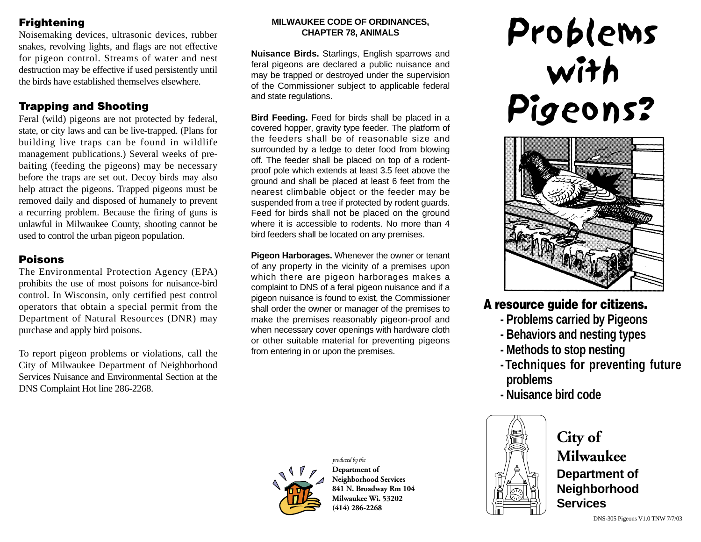## **Frightening**

Noisemaking devices, ultrasonic devices, rubber snakes, revolving lights, and flags are not effective for pigeon control. Streams of water and nest destruction may be effective if used persistently until the birds have established themselves elsewhere.

#### **Trapping and Shooting**

Feral (wild) pigeons are not protected by federal, state, or city laws and can be live-trapped. (Plans for building live traps can be found in wildlife management publications.) Several weeks of prebaiting (feeding the pigeons) may be necessary before the traps are set out. Decoy birds may also help attract the pigeons. Trapped pigeons must be removed daily and disposed of humanely to prevent a recurring problem. Because the firing of guns is unlawful in Milwaukee County, shooting cannot be used to control the urban pigeon population.

#### **Poisons**

The Environmental Protection Agency (EPA) prohibits the use of most poisons for nuisance-bird control. In Wisconsin, only certified pest control operators that obtain a special permit from the Department of Natural Resources (DNR) may purchase and apply bird poisons.

To report pigeon problems or violations, call the City of Milwaukee Department of Neighborhood Services Nuisance and Environmental Section at the DNS Complaint Hot line 286-2268.

#### **MILWAUKEE CODE OF ORDINANCES, CHAPTER 78, ANIMALS**

**Nuisance Birds.** Starlings, English sparrows and feral pigeons are declared a public nuisance and may be trapped or destroyed under the supervision of the Commissioner subject to applicable federal and state regulations.

**Bird Feeding.** Feed for birds shall be placed in a covered hopper, gravity type feeder. The platform of the feeders shall be of reasonable size and surrounded by a ledge to deter food from blowing off. The feeder shall be placed on top of a rodentproof pole which extends at least 3.5 feet above the ground and shall be placed at least 6 feet from the nearest climbable object or the feeder may be suspended from a tree if protected by rodent guards. Feed for birds shall not be placed on the ground where it is accessible to rodents. No more than 4 bird feeders shall be located on any premises.

**Pigeon Harborages.** Whenever the owner or tenant of any property in the vicinity of a premises upon which there are pigeon harborages makes a complaint to DNS of a feral pigeon nuisance and if a pigeon nuisance is found to exist, the Commissioner shall order the owner or manager of the premises to make the premises reasonably pigeon-proof and when necessary cover openings with hardware cloth or other suitable material for preventing pigeons from entering in or upon the premises.



*produced by the* **Department of Neighborhood Services 841 N. Broadway Rm 104 Milwaukee Wi. 53202 (414) 286-2268**

# Problems with Pigeons?



# **A resource guide for citizens.**

- **Problems carried by Pigeons**
- **Behaviors and nesting types**
- **Methods to stop nesting**
- **Techniques for preventing future problems**
- **Nuisance bird code**



**City of Milwaukee Department of Neighborhood Services**